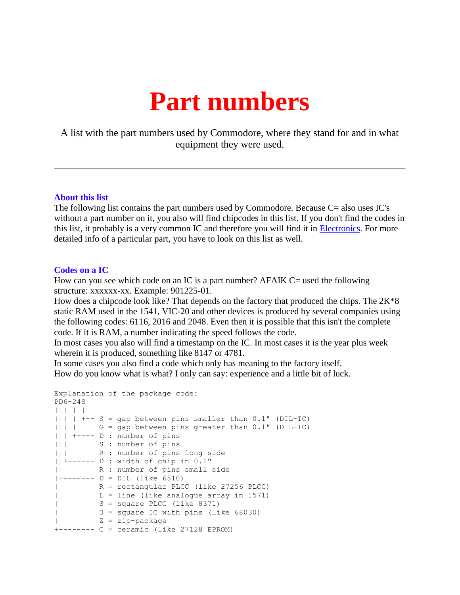## **Part numbers**

A list with the part numbers used by Commodore, where they stand for and in what equipment they were used.

## **About this list**

The following list contains the part numbers used by Commodore. Because C= also uses IC's without a part number on it, you also will find chipcodes in this list. If you don't find the codes in this list, it probably is a very common IC and therefore you will find it in [Electronics.](http://www.baltissen.org/htm/elec.htm) For more detailed info of a particular part, you have to look on this list as well.

## **Codes on a IC**

How can you see which code on an IC is a part number? AFAIK C= used the following structure: xxxxxx-xx. Example: 901225-01.

How does a chipcode look like? That depends on the factory that produced the chips. The  $2K*8$ static RAM used in the 1541, VIC-20 and other devices is produced by several companies using the following codes: 6116, 2016 and 2048. Even then it is possible that this isn't the complete code. If it is RAM, a number indicating the speed follows the code.

In most cases you also will find a timestamp on the IC. In most cases it is the year plus week wherein it is produced, something like 8147 or 4781.

In some cases you also find a code which only has meaning to the factory itself. How do you know what is what? I only can say: experience and a little bit of luck.

```
Explanation of the package code:
PD6-24S
||| | |
|||| +-- S = gap between pins smaller than 0.1" (DIL-IC)
||| | G = gap between pins greater than 0.1" (DIL-IC)
||| +---- D : number of pins
||| S : number of pins
||| R : number of pins long side
||+------ D : width of chip in 0.1"
|| R : number of pins small side
|+------ D = DIL (like 6510)
| R = rectangular PLCC (like 27256 PLCC)
| L = line (like analogue array in 1571)
| S = square PLCC (like 8371)
| U = square IC with pins (like 68030)
| Z = zip-package
+-------- C = ceramic (like 27128 EPROM)
```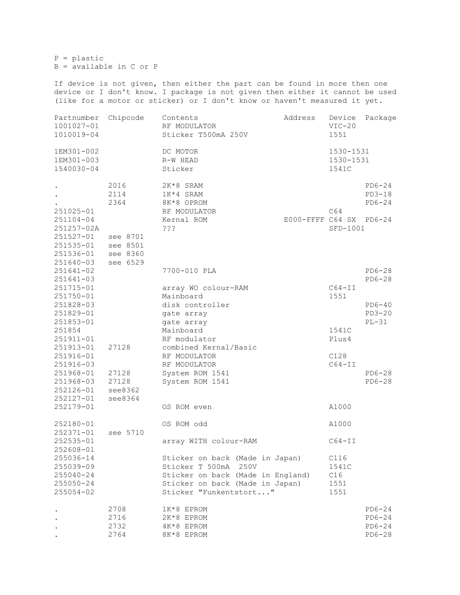P = plastic  $B =$ available in C or P

If device is not given, then either the part can be found in more then one device or I don't know. I package is not given then either it cannot be used (like for a motor or sticker) or I don't know or haven't measured it yet.

| Partnumber<br>1001027-01<br>1010019-04                                                                                    | Chipcode                                                             | Address<br>Contents<br>RF MODULATOR<br>Sticker T500mA 250V                                                                                                                                          | Device<br>$VIC-20$<br>1551 | Package                                                   |                                                         |
|---------------------------------------------------------------------------------------------------------------------------|----------------------------------------------------------------------|-----------------------------------------------------------------------------------------------------------------------------------------------------------------------------------------------------|----------------------------|-----------------------------------------------------------|---------------------------------------------------------|
| 1EM301-002<br>1EM301-003<br>1540030-04                                                                                    |                                                                      | DC MOTOR<br>R-W HEAD<br>Sticker                                                                                                                                                                     |                            | 1530-1531<br>1530-1531<br>1541C                           |                                                         |
| 251025-01<br>251104-04<br>251257-02A<br>$251527 - 01$<br>251535-01<br>251536-01<br>251640-03                              | 2016<br>2114<br>2364<br>see 8701<br>see 8501<br>see 8360<br>see 6529 | 2K*8 SRAM<br>1K*4 SRAM<br>8K*8 OPROM<br>RF MODULATOR<br>Kernal ROM<br>222                                                                                                                           | E000-FFFF C64 SX PD6-24    | C64<br>SFD-1001                                           | $PD6-24$<br>$PD3-18$<br>$PD6-24$                        |
| 251641-02<br>251641-03<br>251715-01<br>251750-01<br>251828-03<br>251829-01<br>251853-01<br>251854                         |                                                                      | 7700-010 PLA<br>array WO colour-RAM<br>Mainboard<br>disk controller<br>gate array<br>gate array<br>Mainboard                                                                                        |                            | $C64-TI$<br>1551<br>1541C                                 | $PD6-28$<br>$PD6-28$<br>$PD6-40$<br>$PD3-20$<br>$PL-31$ |
| 251911-01<br>251913-01<br>251916-01<br>251916-03<br>251968-01<br>251968-03<br>252126-01<br>252127-01<br>252179-01         | 27128<br>27128<br>27128<br>see 8362<br>see 8364                      | RF modulator<br>combined Kernal/Basic<br>RF MODULATOR<br>RF MODULATOR<br>System ROM 1541<br>System ROM 1541<br>OS ROM even                                                                          |                            | Plus4<br>C128<br>$C64-TI$<br>A1000                        | $PD6-28$<br>$PD6-28$                                    |
| 252180-01<br>252371-01<br>252535-01<br>252608-01<br>255036-14<br>255039-09<br>255040-24<br>$255050 - 24$<br>$255054 - 02$ | see 5710                                                             | OS ROM odd<br>array WITH colour-RAM<br>Sticker on back (Made in Japan)<br>Sticker T 500mA<br>250V<br>Sticker on back (Made in England)<br>Sticker on back (Made in Japan)<br>Sticker "Funkentstort" |                            | A1000<br>$C64-TI$<br>C116<br>1541C<br>C16<br>1551<br>1551 |                                                         |
|                                                                                                                           | 2708<br>2716<br>2732<br>2764                                         | 1K*8 EPROM<br>2K*8 EPROM<br>4K*8 EPROM<br>8K*8 EPROM                                                                                                                                                |                            |                                                           | $PD6-24$<br>$PD6-24$<br>$PD6-24$<br>$PD6-28$            |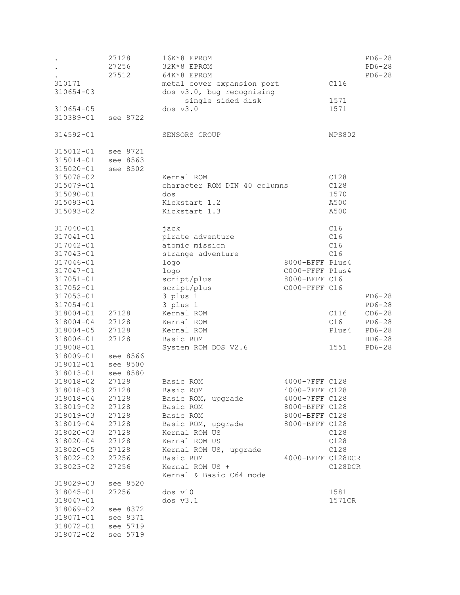| 310171<br>310654-03<br>310654-05<br>310389-01                                                                                                                                                                                                       | 27128<br>27256<br>27512<br>see 8722                                                                                                                                              | 16K*8 EPROM<br>32K*8 EPROM<br>64K*8 EPROM<br>metal cover expansion port<br>dos v3.0, bug recognising<br>single sided disk<br>dos v3.0                                                                                                          |                                                                                                                               | C116<br>1571<br>1571                                     | $PD6-28$<br>$PD6-28$<br>$PD6-28$                                               |
|-----------------------------------------------------------------------------------------------------------------------------------------------------------------------------------------------------------------------------------------------------|----------------------------------------------------------------------------------------------------------------------------------------------------------------------------------|------------------------------------------------------------------------------------------------------------------------------------------------------------------------------------------------------------------------------------------------|-------------------------------------------------------------------------------------------------------------------------------|----------------------------------------------------------|--------------------------------------------------------------------------------|
| 314592-01                                                                                                                                                                                                                                           |                                                                                                                                                                                  | SENSORS GROUP                                                                                                                                                                                                                                  |                                                                                                                               | MPS802                                                   |                                                                                |
| 315012-01<br>315014-01<br>315020-01<br>315078-02<br>315079-01<br>315090-01<br>315093-01<br>315093-02                                                                                                                                                | see 8721<br>see 8563<br>see 8502                                                                                                                                                 | Kernal ROM<br>character ROM DIN 40 columns<br>dos<br>Kickstart 1.2<br>Kickstart 1.3                                                                                                                                                            |                                                                                                                               | C128<br>C128<br>1570<br>A500<br>A500                     |                                                                                |
| 317040-01<br>317041-01<br>317042-01<br>317043-01<br>317046-01<br>317047-01<br>317051-01<br>317052-01<br>317053-01<br>317054-01<br>318004-01<br>318004-04<br>318004-05<br>318006-01<br>318008-01<br>318009-01<br>318012-01                           | 27128<br>27128<br>27128<br>27128<br>see 8566<br>see 8500                                                                                                                         | jack<br>pirate adventure<br>atomic mission<br>strange adventure<br>logo<br>logo<br>script/plus<br>script/plus<br>3 plus 1<br>3 plus 1<br>Kernal ROM<br>Kernal ROM<br>Kernal ROM<br>Basic ROM<br>System ROM DOS V2.6                            | 8000-BFFF Plus4<br>C000-FFFF Plus4<br>8000-BFFF C16<br>C000-FFFF C16                                                          | C16<br>C16<br>C16<br>C16<br>C116<br>C16<br>Plus4<br>1551 | $PD6-28$<br>$PD6-28$<br>$CD6-28$<br>$PD6-28$<br>$PD6-28$<br>BD6-28<br>$PD6-28$ |
| 318013-01<br>318018-02<br>318018-03<br>318018-04<br>318019-02<br>318019-03<br>318019-04<br>318020-03<br>318020-04<br>318020-05<br>318022-02<br>318023-02<br>318029-03<br>318045-01<br>318047-01<br>318069-02<br>318071-01<br>318072-01<br>318072-02 | see 8580<br>27128<br>27128<br>27128<br>27128<br>27128<br>27128<br>27128<br>27128<br>27128<br>27256<br>27256<br>see 8520<br>27256<br>see 8372<br>see 8371<br>see 5719<br>see 5719 | Basic ROM<br>Basic ROM<br>Basic ROM, upgrade<br>Basic ROM<br>Basic ROM<br>Basic ROM, upgrade<br>Kernal ROM US<br>Kernal ROM US<br>Kernal ROM US, upgrade<br>Basic ROM<br>Kernal ROM US +<br>Kernal & Basic C64 mode<br>$dos$ $v10$<br>dos v3.1 | 4000-7FFF C128<br>4000-7FFF C128<br>4000-7FFF C128<br>8000-BFFF C128<br>8000-BFFF C128<br>8000-BFFF C128<br>4000-BFFF C128DCR | C128<br>C128<br>C128<br>C128DCR<br>1581<br>1571CR        |                                                                                |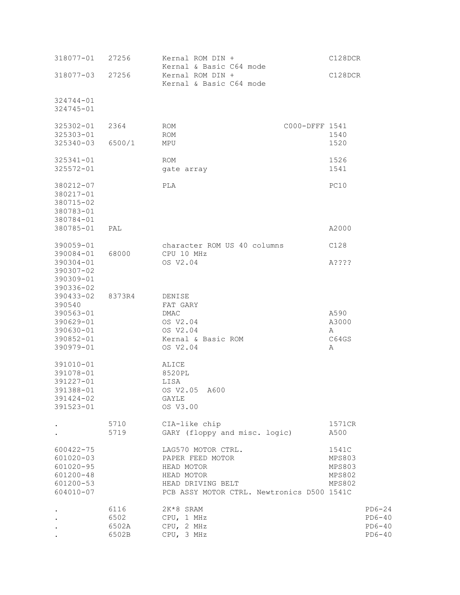| 318077-01                                                                            | 27256                          | Kernal ROM DIN +<br>Kernal & Basic C64 mode                                                                                           | C128DCR                                                     |
|--------------------------------------------------------------------------------------|--------------------------------|---------------------------------------------------------------------------------------------------------------------------------------|-------------------------------------------------------------|
| 318077-03                                                                            | 27256                          | Kernal ROM DIN +<br>Kernal & Basic C64 mode                                                                                           | C128DCR                                                     |
| 324744-01<br>$324745 - 01$                                                           |                                |                                                                                                                                       |                                                             |
| 325302-01<br>325303-01<br>325340-03                                                  | 2364<br>6500/1                 | C000-DFFF 1541<br>ROM<br>ROM<br>MPU                                                                                                   | 1540<br>1520                                                |
| 325341-01<br>325572-01                                                               |                                | ROM<br>gate array                                                                                                                     | 1526<br>1541                                                |
| 380212-07<br>380217-01<br>380715-02<br>380783-01<br>380784-01                        |                                | PLA                                                                                                                                   | PC10                                                        |
| 380785-01                                                                            | PAL                            |                                                                                                                                       | A2000                                                       |
| 390059-01<br>390084-01                                                               | 68000                          | character ROM US 40 columns<br>CPU 10 MHz                                                                                             | C128                                                        |
| 390304-01<br>390307-02<br>390309-01<br>390336-02                                     |                                | OS V2.04                                                                                                                              | A????                                                       |
| 390433-02<br>390540<br>390563-01<br>390629-01<br>390630-01<br>390852-01<br>390979-01 | 8373R4                         | DENISE<br>FAT GARY<br>DMAC<br>OS V2.04<br>OS V2.04<br>Kernal & Basic ROM<br>OS V2.04                                                  | A590<br>A3000<br>А<br>C64GS<br>Α                            |
| 391010-01<br>391078-01<br>391227-01<br>391388-01<br>391424-02<br>391523-01           |                                | ALICE<br>8520PL<br>LISA<br>OS V2.05 A600<br>GAYLE<br>OS V3.00                                                                         |                                                             |
|                                                                                      | 5710<br>5719                   | CIA-like chip<br>GARY (floppy and misc. logic)                                                                                        | 1571CR<br>A500                                              |
| 600422-75<br>601020-03<br>$601020 - 95$<br>601200-48<br>601200-53<br>604010-07       |                                | LAG570 MOTOR CTRL.<br>PAPER FEED MOTOR<br>HEAD MOTOR<br>HEAD MOTOR<br>HEAD DRIVING BELT<br>PCB ASSY MOTOR CTRL. Newtronics D500 1541C | 1541C<br>MPS803<br><b>MPS803</b><br>MPS802<br><b>MPS802</b> |
|                                                                                      | 6116<br>6502<br>6502A<br>6502B | 2K*8 SRAM<br>CPU, 1 MHz<br>CPU, 2 MHz<br>CPU, 3 MHz                                                                                   | $PD6-24$<br>$PD6-40$<br>$PD6-40$<br>$PD6-40$                |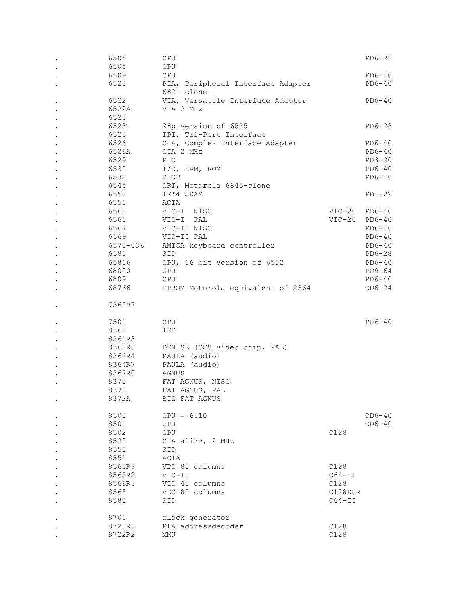|           | 6504             | CPU                               |              | $PD6-28$ |
|-----------|------------------|-----------------------------------|--------------|----------|
|           | 6505             | CPU                               |              |          |
|           | 6509             | CPU                               |              | $PD6-40$ |
|           | 6520             | PIA, Peripheral Interface Adapter |              | $PD6-40$ |
|           |                  | 6821-clone                        |              |          |
|           | 6522             | VIA, Versatile Interface Adapter  |              | $PD6-40$ |
|           | 6522A            | VIA 2 MHz                         |              |          |
|           | 6523             |                                   |              |          |
|           | 6523T            | 28p version of 6525               |              | $PD6-28$ |
|           | 6525             | TPI, Tri-Port Interface           |              |          |
|           | 6526             | CIA, Complex Interface Adapter    |              | $PD6-40$ |
|           | 6526A            | CIA 2 MHz                         |              | $PD6-40$ |
|           | 6529             | PIO                               |              | $PD3-20$ |
|           | 6530             | $I/O$ , RAM, ROM                  |              | $PD6-40$ |
|           | 6532             | RIOT                              |              | $PD6-40$ |
|           | 6545             | CRT, Motorola 6845-clone          |              |          |
|           | 6550             | 1K*4 SRAM                         |              | $PD4-22$ |
| $\bullet$ | 6551             | ACIA                              |              |          |
| $\bullet$ | 6560             | VIC-I NTSC                        | $VIC-20$     | PD6-40   |
|           | 6561             | VIC-I PAL                         | $VIC-20$     | $PD6-40$ |
|           | 6567             | VIC-II NTSC                       |              | $PD6-40$ |
|           | 6569             | VIC-II PAL                        |              | $PD6-40$ |
|           | 6570-036         | AMIGA keyboard controller         |              | $PD6-40$ |
|           | 6581             | SID                               |              | $PD6-28$ |
|           | 65816            | CPU, 16 bit version of 6502       |              | $PD6-40$ |
|           |                  |                                   |              |          |
|           | 68000            | CPU                               |              | PD9-64   |
|           | 6809             | CPU                               |              | $PD6-40$ |
|           | 68766            | EPROM Motorola equivalent of 2364 |              | $CD6-24$ |
|           | 7360R7           |                                   |              |          |
|           |                  |                                   |              |          |
|           | 7501             | <b>CPU</b>                        |              | $PD6-40$ |
|           | 8360             | TED                               |              |          |
|           |                  |                                   |              |          |
|           |                  |                                   |              |          |
|           | 8361R3           |                                   |              |          |
| $\bullet$ | 8362R8           | DENISE (OCS video chip, PAL)      |              |          |
| $\bullet$ | 8364R4           | PAULA (audio)                     |              |          |
|           | 8364R7           | PAULA (audio)                     |              |          |
|           | 8367R0           | AGNUS                             |              |          |
|           | 8370             | FAT AGNUS, NTSC                   |              |          |
|           | 8371             | FAT AGNUS, PAL                    |              |          |
|           | 8372A            | BIG FAT AGNUS                     |              |          |
|           |                  |                                   |              |          |
|           | 8500             | $CPU = 6510$                      |              | $CD6-40$ |
|           | 8501             | CPU                               |              | $CD6-40$ |
|           | 8502             | CPU                               | C128         |          |
|           | 8520             | CIA alike, 2 MHz                  |              |          |
|           | 8550             | SID                               |              |          |
|           | 8551             | ACIA                              |              |          |
|           | 8563R9           | VDC 80 columns                    | C128         |          |
|           | 8565R2           | VIC-II                            | $C64-TI$     |          |
|           | 8566R3           | VIC 40 columns                    | C128         |          |
|           | 8568             | VDC 80 columns                    | C128DCR      |          |
|           | 8580             | SID                               | $C64 - II$   |          |
|           |                  |                                   |              |          |
|           | 8701             | clock generator                   |              |          |
|           | 8721R3<br>8722R2 | PLA addressdecoder<br>MMU         | C128<br>C128 |          |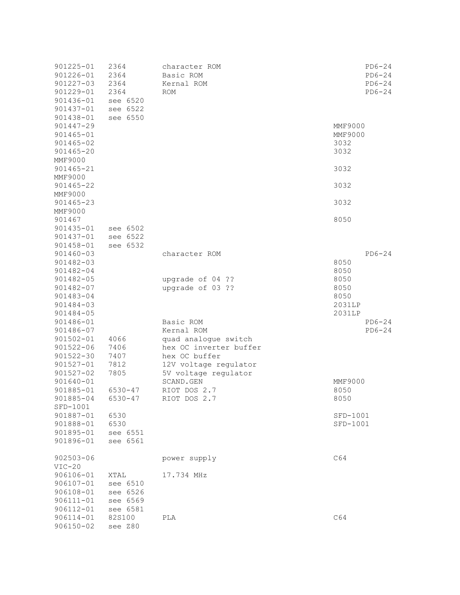| 901225-01<br>901226-01<br>901227-03<br>901229-01<br>901436-01<br>901437-01             | 2364<br>2364<br>2364<br>2364<br>see 6520<br>see 6522 | character ROM<br>Basic ROM<br>Kernal ROM<br>$\text{ROM}{}$                                                          | $PD6-24$<br>$PD6-24$<br>$PD6-24$<br>$PD6-24$     |
|----------------------------------------------------------------------------------------|------------------------------------------------------|---------------------------------------------------------------------------------------------------------------------|--------------------------------------------------|
| 901438-01<br>901447-29<br>901465-01<br>$901465 - 02$<br>$901465 - 20$                  | see 6550                                             |                                                                                                                     | <b>MMF9000</b><br><b>MMF9000</b><br>3032<br>3032 |
| <b>MMF9000</b><br>901465-21                                                            |                                                      |                                                                                                                     | 3032                                             |
| MMF9000<br>901465-22<br><b>MMF9000</b>                                                 |                                                      |                                                                                                                     | 3032                                             |
| 901465-23<br>MMF9000                                                                   |                                                      |                                                                                                                     | 3032                                             |
| 901467<br>901435-01<br>901437-01<br>901458-01                                          | see 6502<br>see 6522<br>see 6532                     |                                                                                                                     | 8050                                             |
| 901460-03<br>901482-03<br>901482-04                                                    |                                                      | character ROM                                                                                                       | $PD6-24$<br>8050<br>8050                         |
| 901482-05<br>901482-07<br>901483-04<br>901484-03<br>901484-05                          |                                                      | upgrade of 04 ??<br>upgrade of 03 ??                                                                                | 8050<br>8050<br>8050<br>2031LP<br>2031LP         |
| 901486-01<br>901486-07<br>$901502 - 01$<br>$901522 - 06$<br>$901522 - 30$<br>901527-01 | 4066<br>7406<br>7407<br>7812                         | Basic ROM<br>Kernal ROM<br>quad analogue switch<br>hex OC inverter buffer<br>hex OC buffer<br>12V voltage regulator | $PD6-24$<br>$PD6-24$                             |
| 901527-02<br>901640-01<br>901885-01<br>901885-04                                       | 7805<br>6530-47<br>$6530 - 47$                       | 5V voltage regulator<br>SCAND.GEN<br>RIOT DOS 2.7<br>RIOT DOS 2.7                                                   | MMF9000<br>8050<br>8050                          |
| SFD-1001<br>901887-01<br>901888-01<br>901895-01<br>901896-01                           | 6530<br>6530<br>see 6551<br>see 6561                 |                                                                                                                     | SFD-1001<br>SFD-1001                             |
| $902503 - 06$<br>$VIC-20$                                                              |                                                      | power supply                                                                                                        | C64                                              |
| 906106-01<br>906107-01<br>906108-01<br>$906111 - 01$<br>906112-01                      | XTAL<br>see 6510<br>see 6526<br>see 6569<br>see 6581 | 17.734 MHz                                                                                                          |                                                  |
| $906114 - 01$<br>$906150 - 02$                                                         | 82S100<br>see Z80                                    | PLA                                                                                                                 | C64                                              |